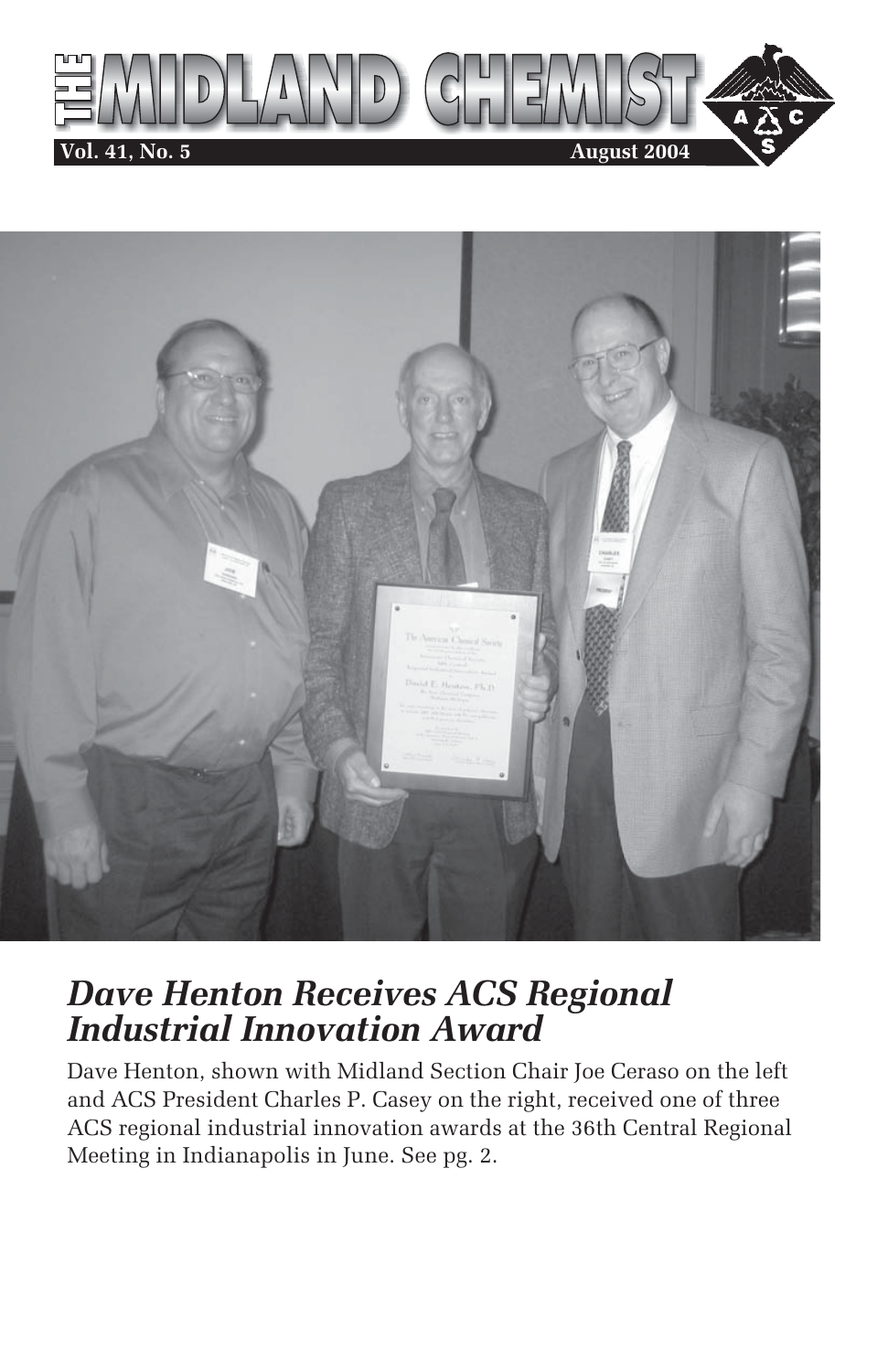



## *Dave Henton Receives ACS Regional Industrial Innovation Award*

Dave Henton, shown with Midland Section Chair Joe Ceraso on the left and ACS President Charles P. Casey on the right, received one of three ACS regional industrial innovation awards at the 36th Central Regional Meeting in Indianapolis in June. See pg. 2.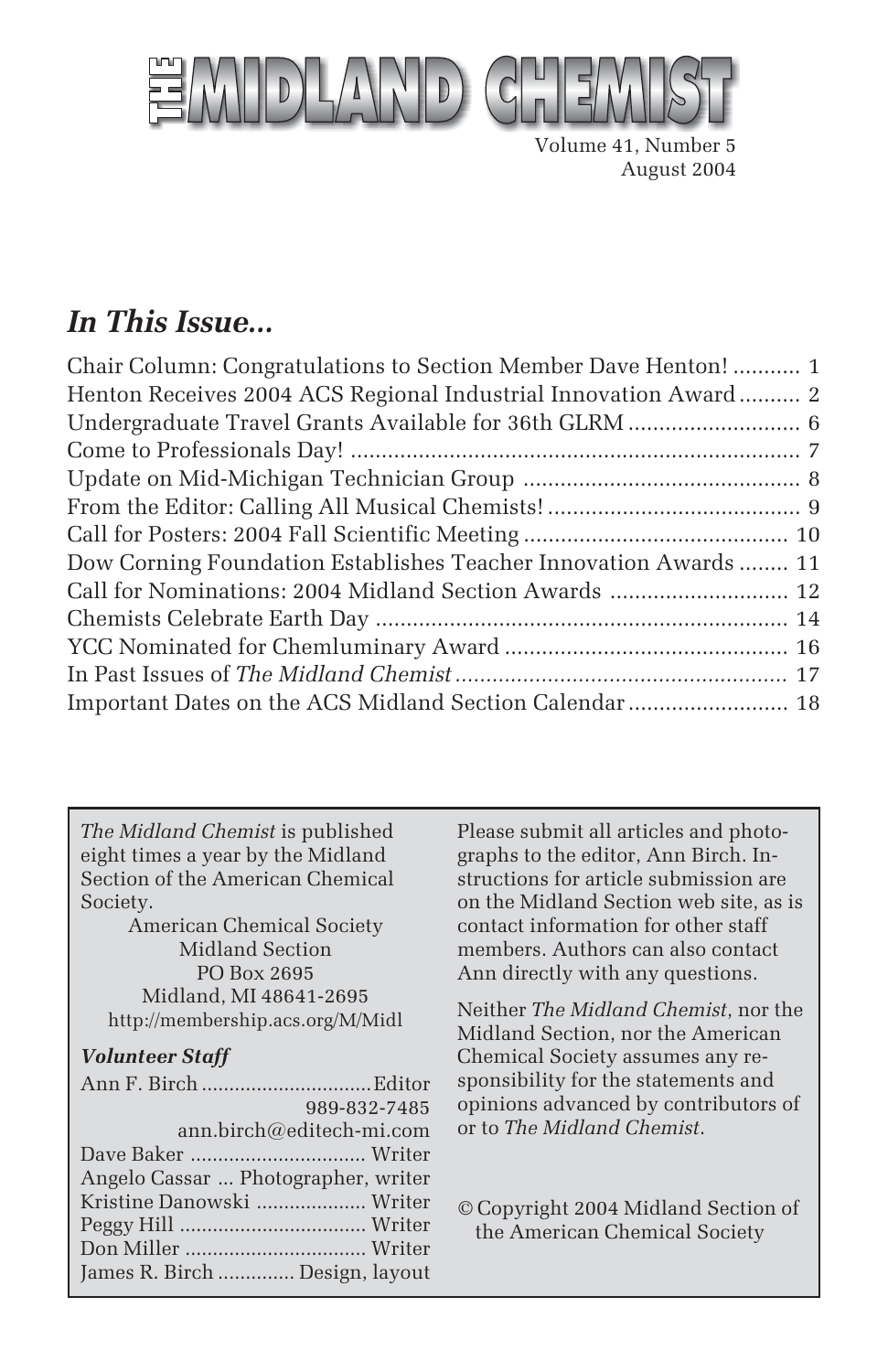

Volume 41, Number 5 August 2004

## *In This Issue...*

*The Midland Chemist* is published eight times a year by the Midland Section of the American Chemical Society.

American Chemical Society Midland Section PO Box 2695 Midland, MI 48641-2695 http://membership.acs.org/M/Midl

#### *Volunteer Staff*

| 989-832-7485                        |  |
|-------------------------------------|--|
| ann.birch@editech-mi.com            |  |
|                                     |  |
| Angelo Cassar  Photographer, writer |  |
| Kristine Danowski  Writer           |  |
|                                     |  |
|                                     |  |
| James R. Birch  Design, layout      |  |

Please submit all articles and photographs to the editor, Ann Birch. Instructions for article submission are on the Midland Section web site, as is contact information for other staff members. Authors can also contact Ann directly with any questions.

Neither *The Midland Chemist*, nor the Midland Section, nor the American Chemical Society assumes any responsibility for the statements and opinions advanced by contributors of or to *The Midland Chemist*.

© Copyright 2004 Midland Section of the American Chemical Society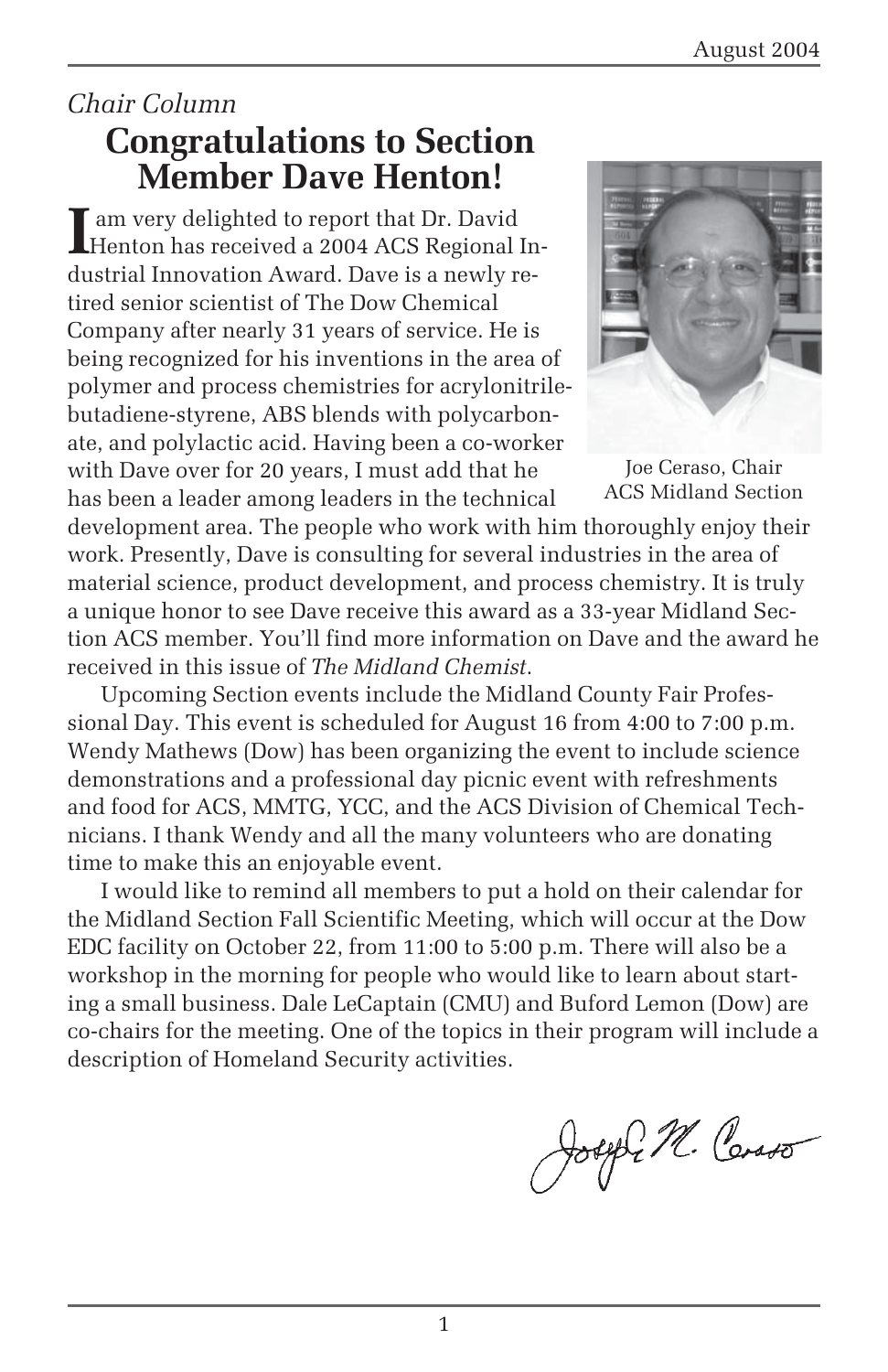### *Chair Column* **Congratulations to Section Member Dave Henton!**

I am very delighted to report that Dr. David<br>Henton has received a 2004 ACS Regional In am very delighted to report that Dr. David dustrial Innovation Award. Dave is a newly retired senior scientist of The Dow Chemical Company after nearly 31 years of service. He is being recognized for his inventions in the area of polymer and process chemistries for acrylonitrilebutadiene-styrene, ABS blends with polycarbonate, and polylactic acid. Having been a co-worker with Dave over for 20 years, I must add that he has been a leader among leaders in the technical



Joe Ceraso, Chair ACS Midland Section

development area. The people who work with him thoroughly enjoy their work. Presently, Dave is consulting for several industries in the area of material science, product development, and process chemistry. It is truly a unique honor to see Dave receive this award as a 33-year Midland Section ACS member. You'll find more information on Dave and the award he received in this issue of *The Midland Chemist*.

Upcoming Section events include the Midland County Fair Professional Day. This event is scheduled for August 16 from 4:00 to 7:00 p.m. Wendy Mathews (Dow) has been organizing the event to include science demonstrations and a professional day picnic event with refreshments and food for ACS, MMTG, YCC, and the ACS Division of Chemical Technicians. I thank Wendy and all the many volunteers who are donating time to make this an enjoyable event.

I would like to remind all members to put a hold on their calendar for the Midland Section Fall Scientific Meeting, which will occur at the Dow EDC facility on October 22, from 11:00 to 5:00 p.m. There will also be a workshop in the morning for people who would like to learn about starting a small business. Dale LeCaptain (CMU) and Buford Lemon (Dow) are co-chairs for the meeting. One of the topics in their program will include a description of Homeland Security activities.

Joseph M. Corso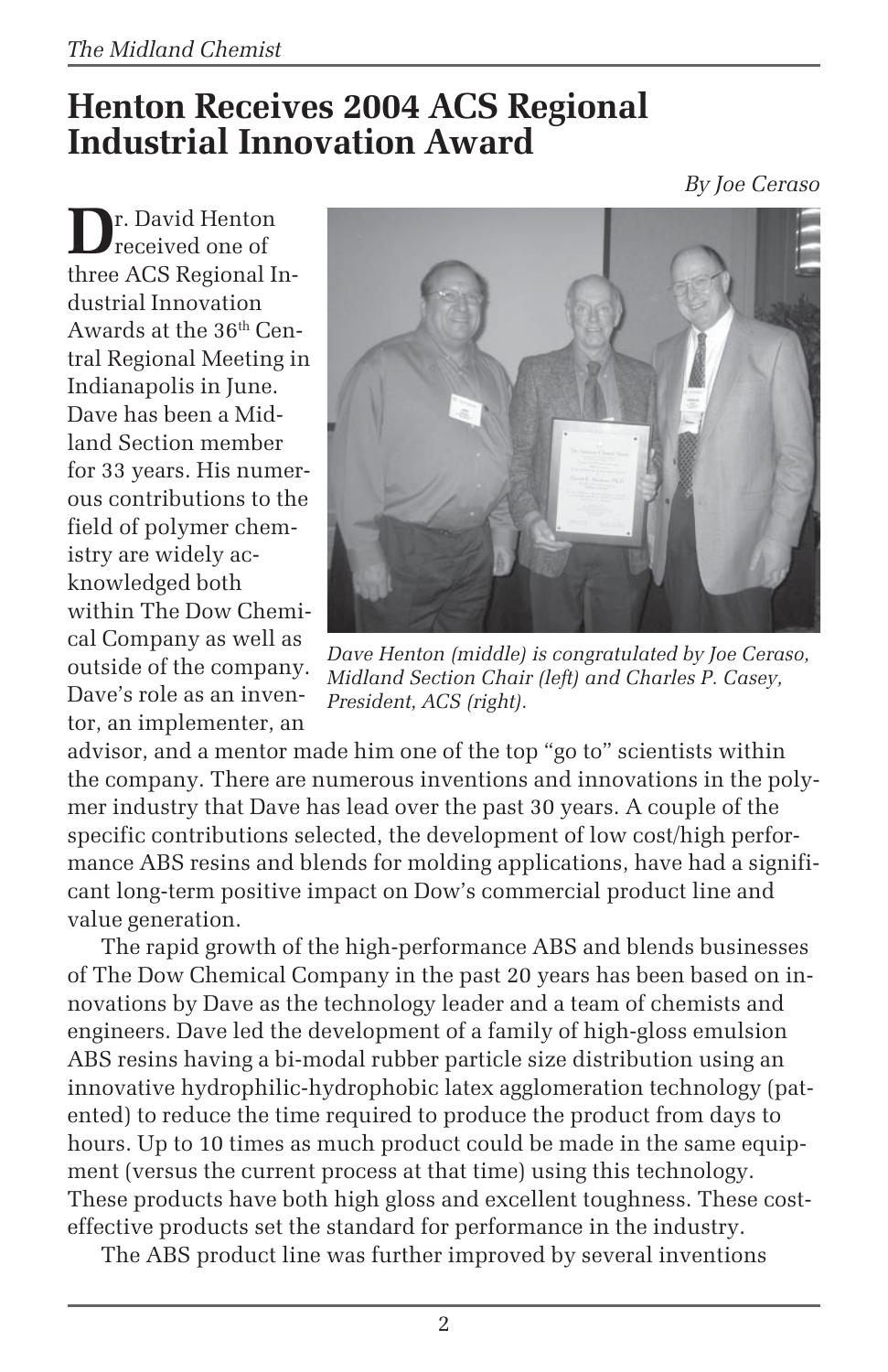## **Henton Receives 2004 ACS Regional Industrial Innovation Award**

*By Joe Ceraso*

**D**r. David Henton received one of three ACS Regional Industrial Innovation Awards at the 36th Central Regional Meeting in Indianapolis in June. Dave has been a Midland Section member for 33 years. His numerous contributions to the field of polymer chemistry are widely acknowledged both within The Dow Chemical Company as well as outside of the company. Dave's role as an inventor, an implementer, an



*Dave Henton (middle) is congratulated by Joe Ceraso, Midland Section Chair (left) and Charles P. Casey, President, ACS (right).*

advisor, and a mentor made him one of the top "go to" scientists within the company. There are numerous inventions and innovations in the polymer industry that Dave has lead over the past 30 years. A couple of the specific contributions selected, the development of low cost/high performance ABS resins and blends for molding applications, have had a significant long-term positive impact on Dow's commercial product line and value generation.

The rapid growth of the high-performance ABS and blends businesses of The Dow Chemical Company in the past 20 years has been based on innovations by Dave as the technology leader and a team of chemists and engineers. Dave led the development of a family of high-gloss emulsion ABS resins having a bi-modal rubber particle size distribution using an innovative hydrophilic-hydrophobic latex agglomeration technology (patented) to reduce the time required to produce the product from days to hours. Up to 10 times as much product could be made in the same equipment (versus the current process at that time) using this technology. These products have both high gloss and excellent toughness. These costeffective products set the standard for performance in the industry.

The ABS product line was further improved by several inventions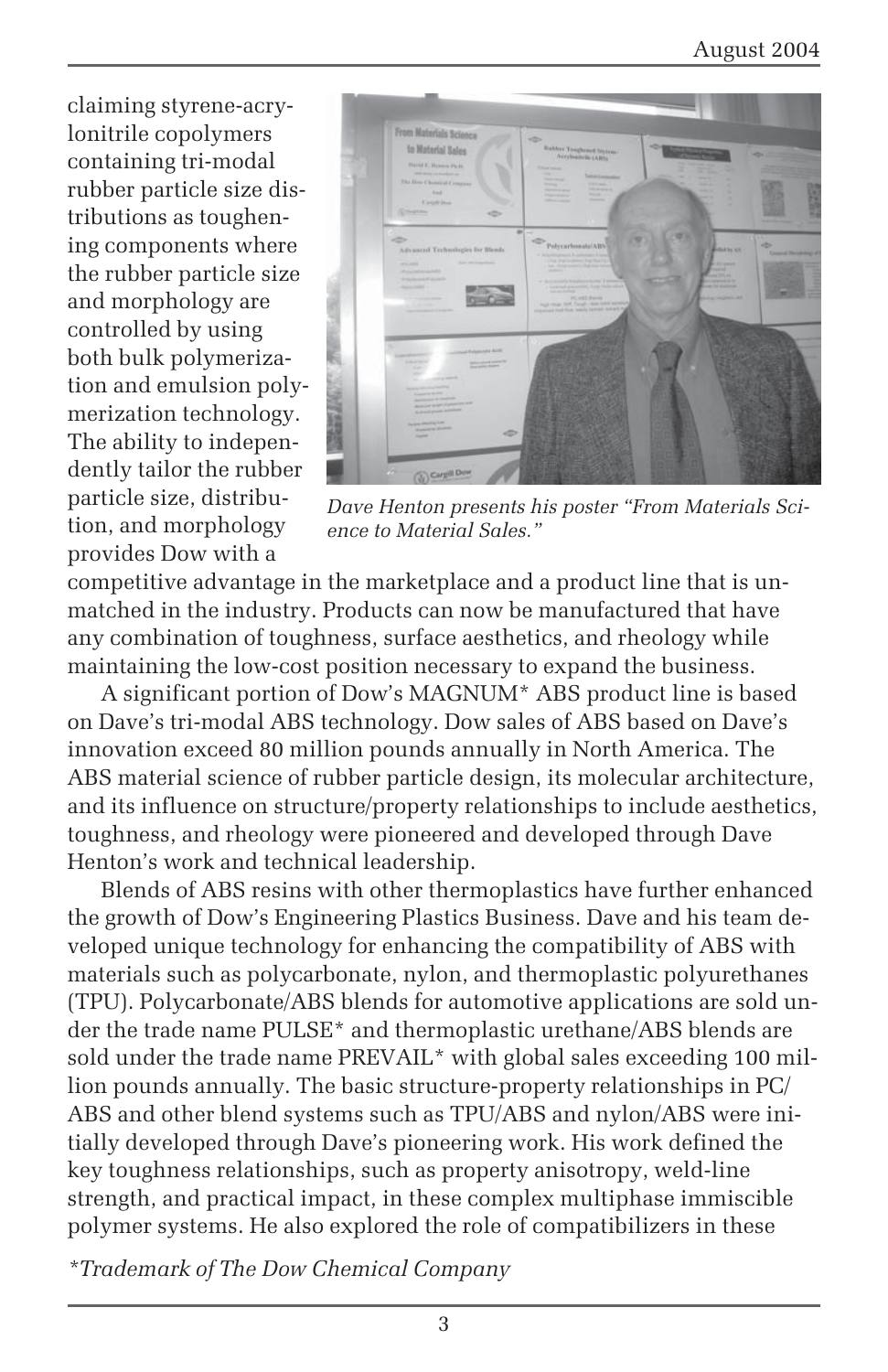claiming styrene-acrylonitrile copolymers containing tri-modal rubber particle size distributions as toughening components where the rubber particle size and morphology are controlled by using both bulk polymerization and emulsion polymerization technology. The ability to independently tailor the rubber particle size, distribution, and morphology provides Dow with a



*Dave Henton presents his poster "From Materials Science to Material Sales."*

competitive advantage in the marketplace and a product line that is unmatched in the industry. Products can now be manufactured that have any combination of toughness, surface aesthetics, and rheology while maintaining the low-cost position necessary to expand the business.

A significant portion of Dow's MAGNUM\* ABS product line is based on Dave's tri-modal ABS technology. Dow sales of ABS based on Dave's innovation exceed 80 million pounds annually in North America. The ABS material science of rubber particle design, its molecular architecture, and its influence on structure/property relationships to include aesthetics, toughness, and rheology were pioneered and developed through Dave Henton's work and technical leadership.

Blends of ABS resins with other thermoplastics have further enhanced the growth of Dow's Engineering Plastics Business. Dave and his team developed unique technology for enhancing the compatibility of ABS with materials such as polycarbonate, nylon, and thermoplastic polyurethanes (TPU). Polycarbonate/ABS blends for automotive applications are sold under the trade name PULSE\* and thermoplastic urethane/ABS blends are sold under the trade name PREVAIL\* with global sales exceeding 100 million pounds annually. The basic structure-property relationships in PC/ ABS and other blend systems such as TPU/ABS and nylon/ABS were initially developed through Dave's pioneering work. His work defined the key toughness relationships, such as property anisotropy, weld-line strength, and practical impact, in these complex multiphase immiscible polymer systems. He also explored the role of compatibilizers in these

*\*Trademark of The Dow Chemical Company*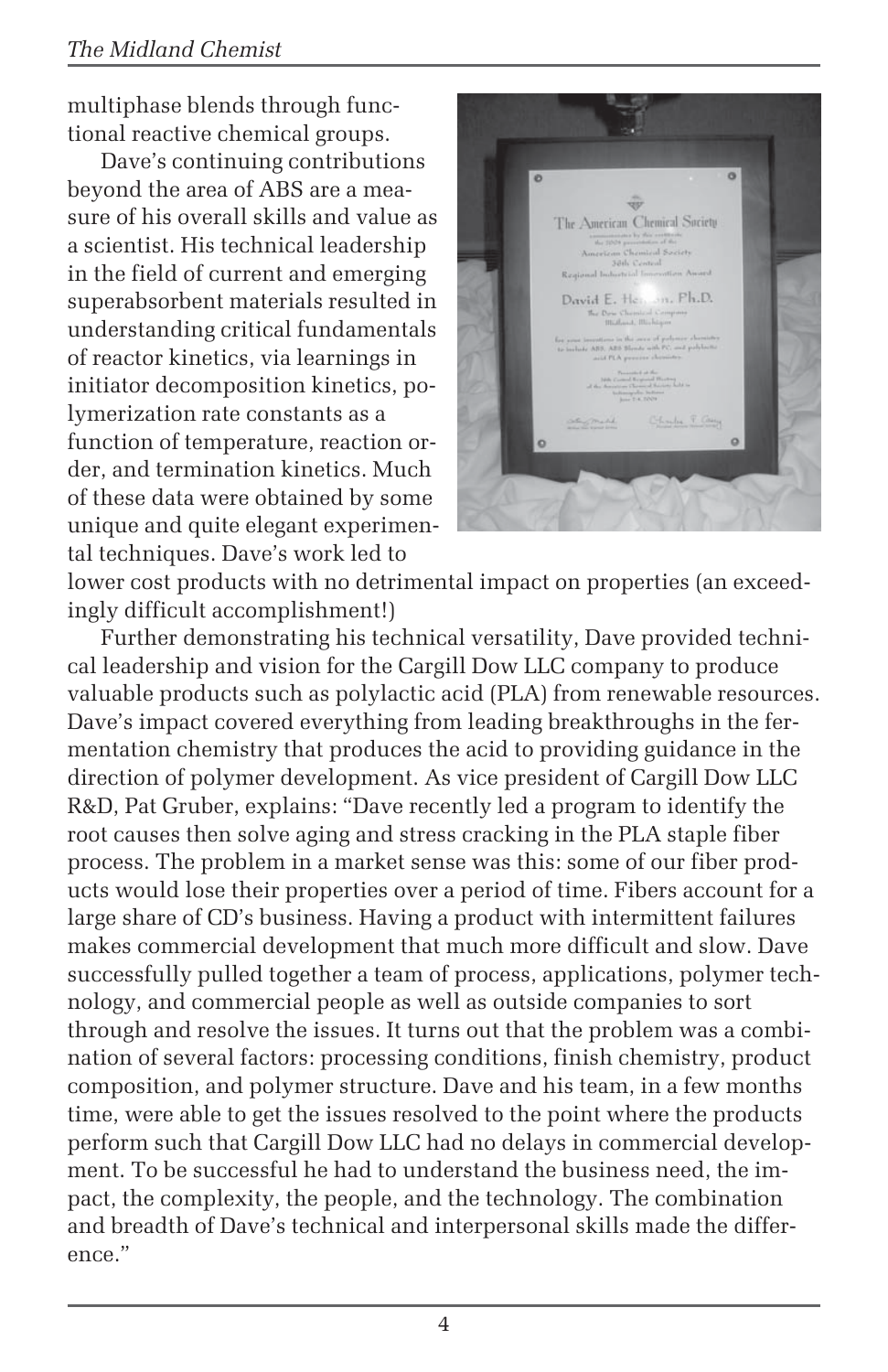#### *The Midland Chemist*

multiphase blends through functional reactive chemical groups.

Dave's continuing contributions beyond the area of ABS are a measure of his overall skills and value as a scientist. His technical leadership in the field of current and emerging superabsorbent materials resulted in understanding critical fundamentals of reactor kinetics, via learnings in initiator decomposition kinetics, polymerization rate constants as a function of temperature, reaction order, and termination kinetics. Much of these data were obtained by some unique and quite elegant experimental techniques. Dave's work led to



lower cost products with no detrimental impact on properties (an exceedingly difficult accomplishment!)

Further demonstrating his technical versatility, Dave provided technical leadership and vision for the Cargill Dow LLC company to produce valuable products such as polylactic acid (PLA) from renewable resources. Dave's impact covered everything from leading breakthroughs in the fermentation chemistry that produces the acid to providing guidance in the direction of polymer development. As vice president of Cargill Dow LLC R&D, Pat Gruber, explains: "Dave recently led a program to identify the root causes then solve aging and stress cracking in the PLA staple fiber process. The problem in a market sense was this: some of our fiber products would lose their properties over a period of time. Fibers account for a large share of CD's business. Having a product with intermittent failures makes commercial development that much more difficult and slow. Dave successfully pulled together a team of process, applications, polymer technology, and commercial people as well as outside companies to sort through and resolve the issues. It turns out that the problem was a combination of several factors: processing conditions, finish chemistry, product composition, and polymer structure. Dave and his team, in a few months time, were able to get the issues resolved to the point where the products perform such that Cargill Dow LLC had no delays in commercial development. To be successful he had to understand the business need, the impact, the complexity, the people, and the technology. The combination and breadth of Dave's technical and interpersonal skills made the difference."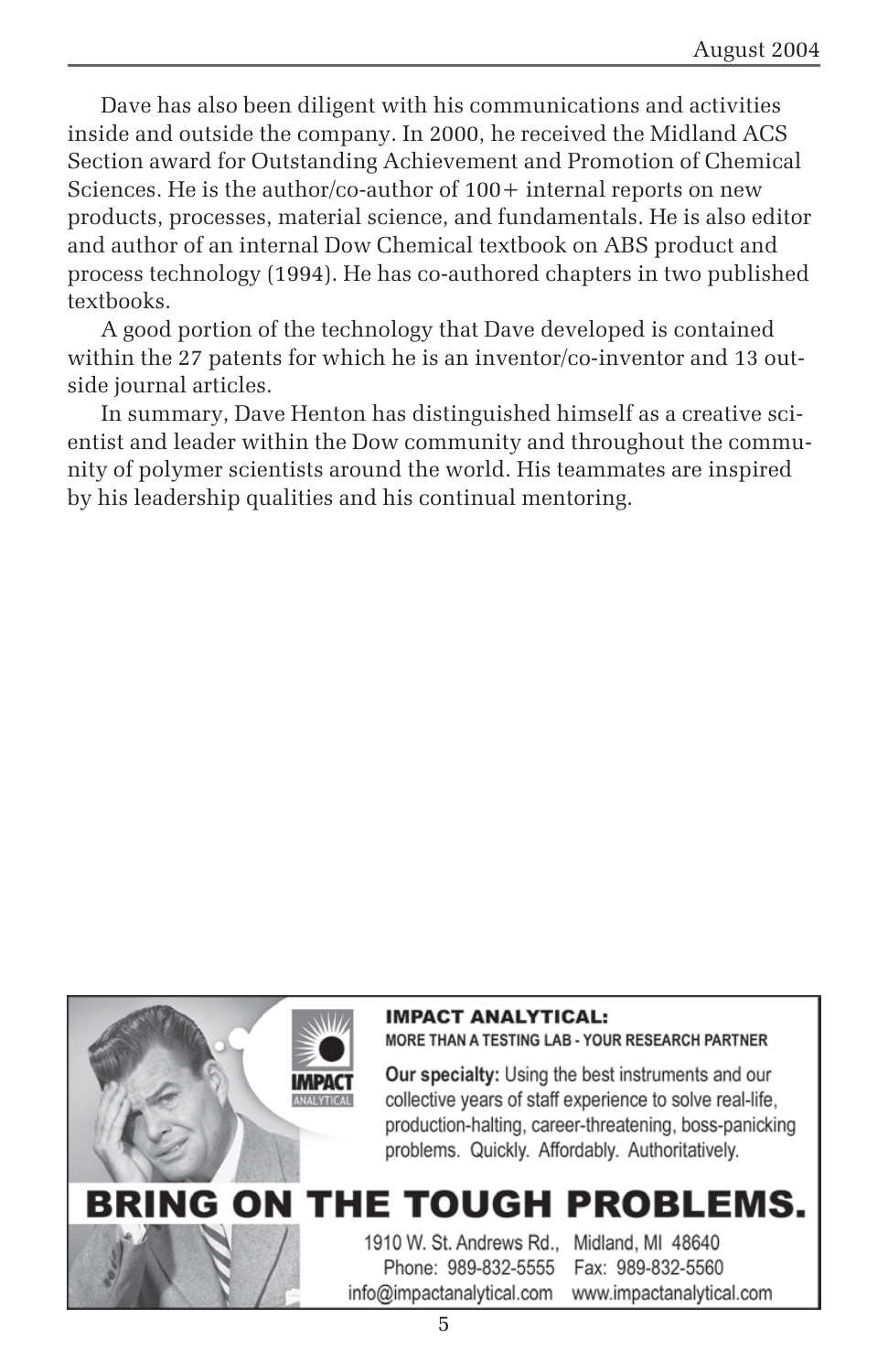Dave has also been diligent with his communications and activities inside and outside the company. In 2000, he received the Midland ACS Section award for Outstanding Achievement and Promotion of Chemical Sciences. He is the author/co-author of  $100+$  internal reports on new products, processes, material science, and fundamentals. He is also editor and author of an internal Dow Chemical textbook on ABS product and process technology (1994). He has co-authored chapters in two published textbooks.

A good portion of the technology that Dave developed is contained within the 27 patents for which he is an inventor/co-inventor and 13 outside journal articles.

In summary, Dave Henton has distinguished himself as a creative scientist and leader within the Dow community and throughout the community of polymer scientists around the world. His teammates are inspired by his leadership qualities and his continual mentoring.



#### **IMPACT ANALYTICAL:**

MORE THAN A TESTING LAB - YOUR RESEARCH PARTNER

Our specialty: Using the best instruments and our collective years of staff experience to solve real-life, production-halting, career-threatening, boss-panicking problems. Quickly. Affordably. Authoritatively.

## BRING ON THE TOUGH PROBLEMS.

1910 W. St. Andrews Rd., Midland, MI 48640 Phone: 989-832-5555 info@impactanalytical.com

Fax: 989-832-5560 www.impactanalytical.com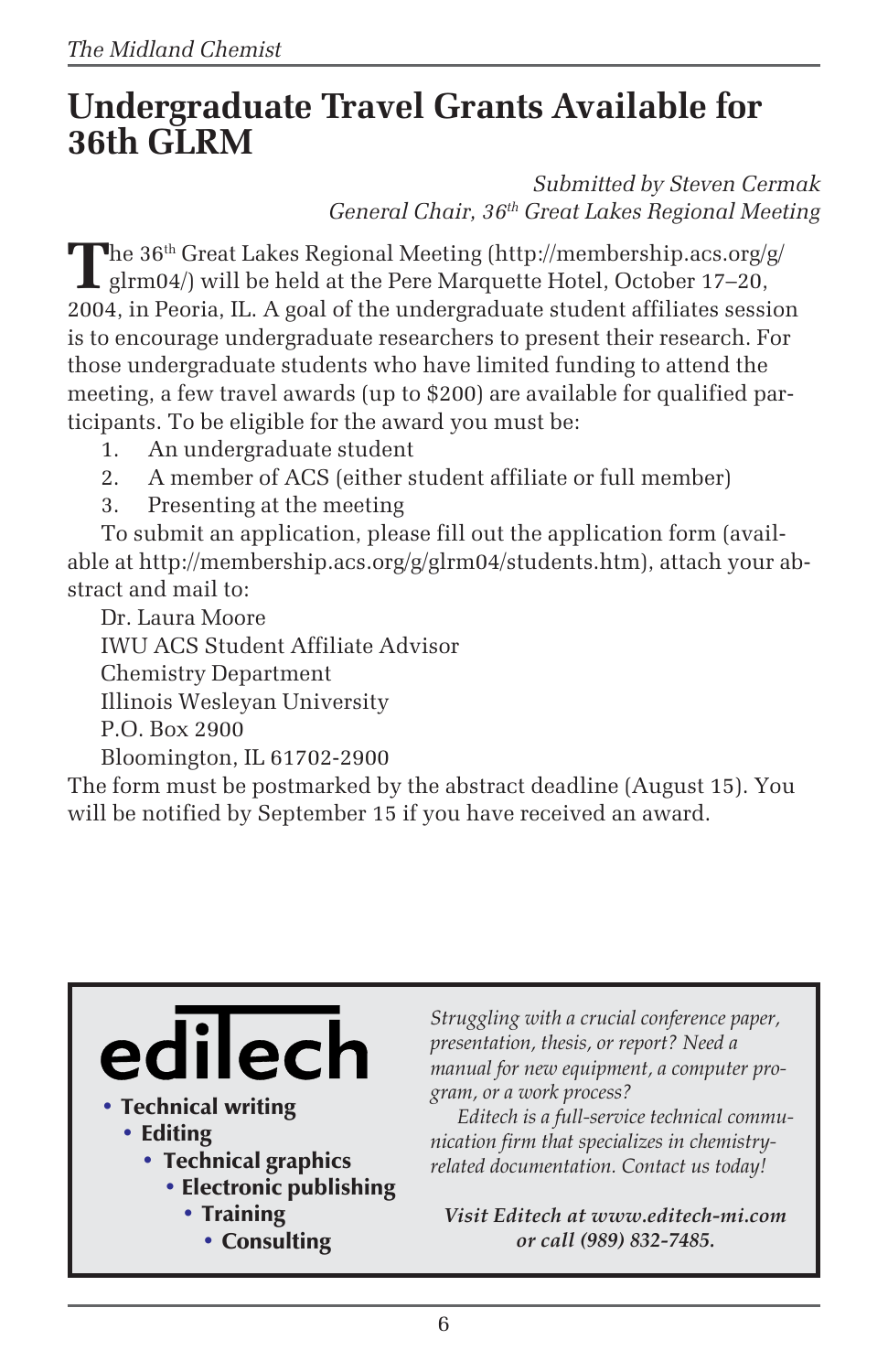## **Undergraduate Travel Grants Available for 36th GLRM**

*Submitted by Steven Cermak General Chair, 36th Great Lakes Regional Meeting*

**The 36<sup>th</sup> Great Lakes Regional Meeting (http://membership.acs.org/g/**  $\blacksquare$  glrm04/) will be held at the Pere Marquette Hotel, October 17–20, 2004, in Peoria, IL. A goal of the undergraduate student affiliates session is to encourage undergraduate researchers to present their research. For those undergraduate students who have limited funding to attend the meeting, a few travel awards (up to \$200) are available for qualified participants. To be eligible for the award you must be:

- 1. An undergraduate student
- 2. A member of ACS (either student affiliate or full member)
- 3. Presenting at the meeting

To submit an application, please fill out the application form (available at http://membership.acs.org/g/glrm04/students.htm), attach your abstract and mail to:

Dr. Laura Moore IWU ACS Student Affiliate Advisor Chemistry Department Illinois Wesleyan University P.O. Box 2900 Bloomington, IL 61702-2900

The form must be postmarked by the abstract deadline (August 15). You will be notified by September 15 if you have received an award.

# ilecl

- Technical writing
	- Editing
		- Technical graphics
			- Electronic publishing
				- Training
					- Consulting

*Struggling with a crucial conference paper, presentation, thesis, or report? Need a manual for new equipment, a computer program, or a work process?*

*Editech is a full-service technical communication firm that specializes in chemistryrelated documentation. Contact us today!*

*Visit Editech at www.editech-mi.com or call (989) 832-7485.*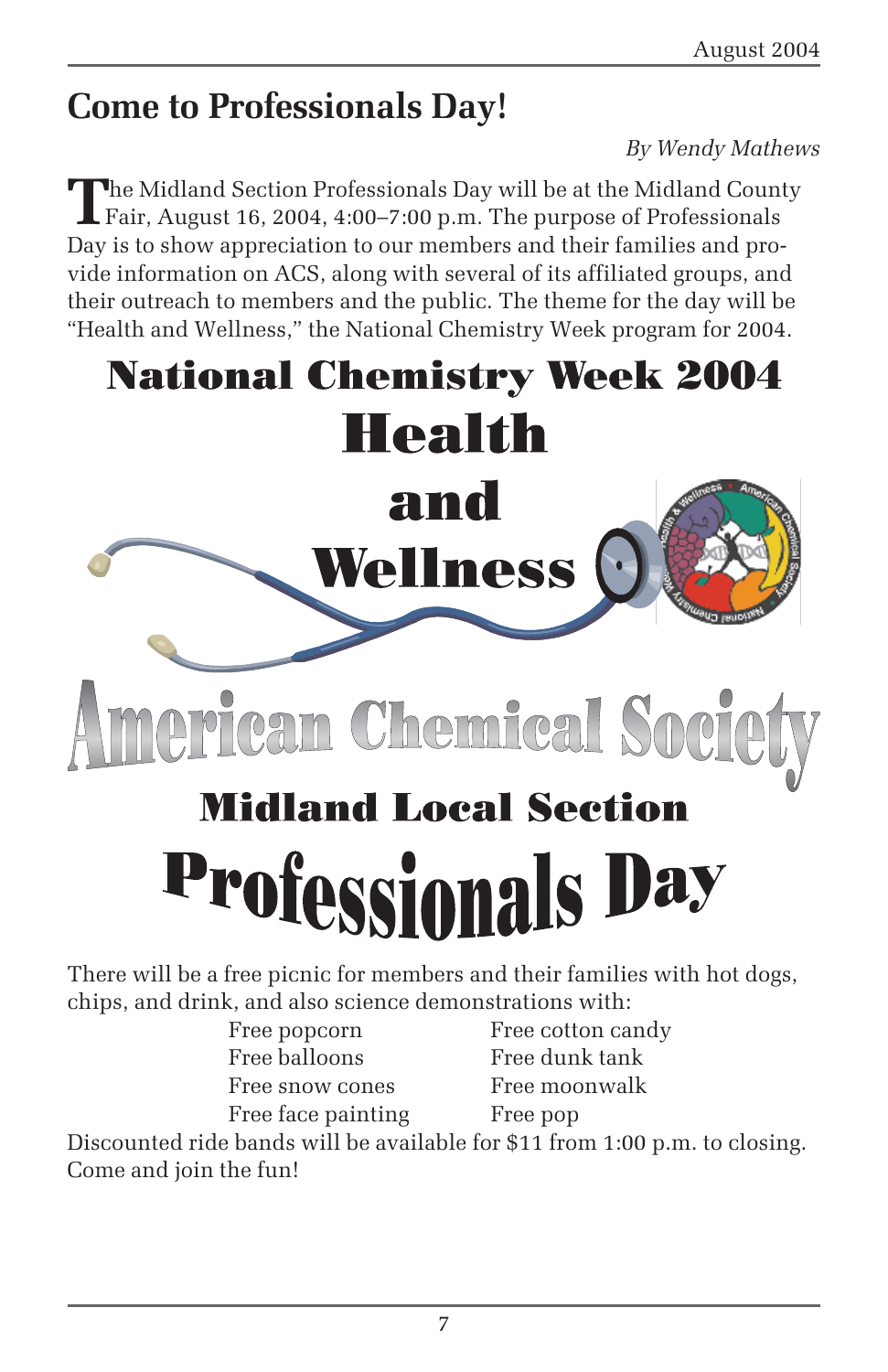## **Come to Professionals Day!**

#### *By Wendy Mathews*

The Midland Section Professionals Day will be at the Midland County<br>Fair, August 16, 2004, 4:00–7:00 p.m. The purpose of Professionals Day is to show appreciation to our members and their families and provide information on ACS, along with several of its affiliated groups, and their outreach to members and the public. The theme for the day will be "Health and Wellness," the National Chemistry Week program for 2004.



Free balloons Free dunk tank Free snow cones Free moonwalk Free face painting Free pop

Free popcorn Free cotton candy

Discounted ride bands will be available for \$11 from 1:00 p.m. to closing. Come and join the fun!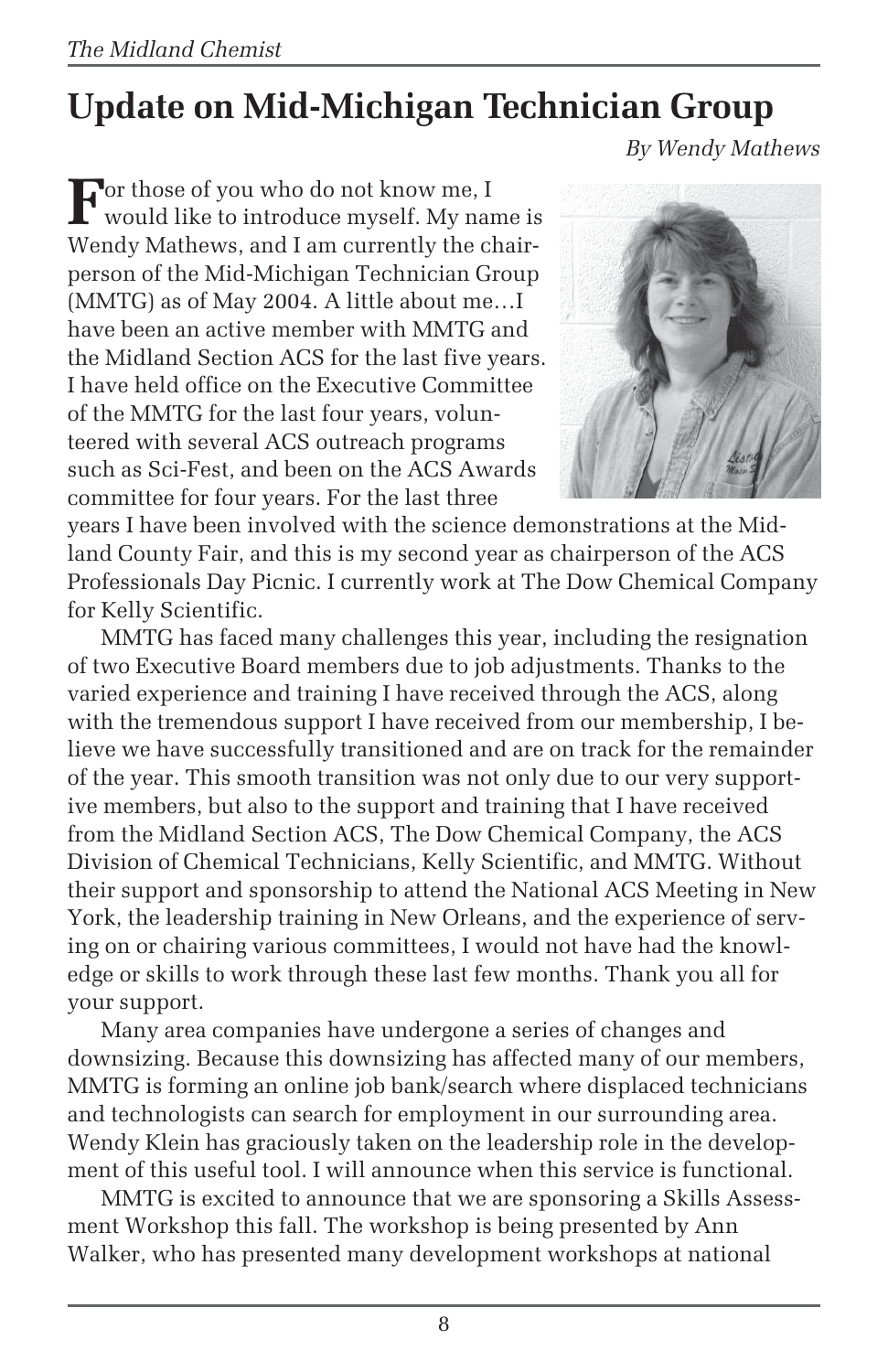# **Update on Mid-Michigan Technician Group**

*By Wendy Mathews*

**F**or those of you who do not know me, I would like to introduce myself. My name is Wendy Mathews, and I am currently the chairperson of the Mid-Michigan Technician Group (MMTG) as of May 2004. A little about me…I have been an active member with MMTG and the Midland Section ACS for the last five years. I have held office on the Executive Committee of the MMTG for the last four years, volunteered with several ACS outreach programs such as Sci-Fest, and been on the ACS Awards committee for four years. For the last three



years I have been involved with the science demonstrations at the Midland County Fair, and this is my second year as chairperson of the ACS Professionals Day Picnic. I currently work at The Dow Chemical Company for Kelly Scientific.

MMTG has faced many challenges this year, including the resignation of two Executive Board members due to job adjustments. Thanks to the varied experience and training I have received through the ACS, along with the tremendous support I have received from our membership, I believe we have successfully transitioned and are on track for the remainder of the year. This smooth transition was not only due to our very supportive members, but also to the support and training that I have received from the Midland Section ACS, The Dow Chemical Company, the ACS Division of Chemical Technicians, Kelly Scientific, and MMTG. Without their support and sponsorship to attend the National ACS Meeting in New York, the leadership training in New Orleans, and the experience of serving on or chairing various committees, I would not have had the knowledge or skills to work through these last few months. Thank you all for your support.

Many area companies have undergone a series of changes and downsizing. Because this downsizing has affected many of our members, MMTG is forming an online job bank/search where displaced technicians and technologists can search for employment in our surrounding area. Wendy Klein has graciously taken on the leadership role in the development of this useful tool. I will announce when this service is functional.

MMTG is excited to announce that we are sponsoring a Skills Assessment Workshop this fall. The workshop is being presented by Ann Walker, who has presented many development workshops at national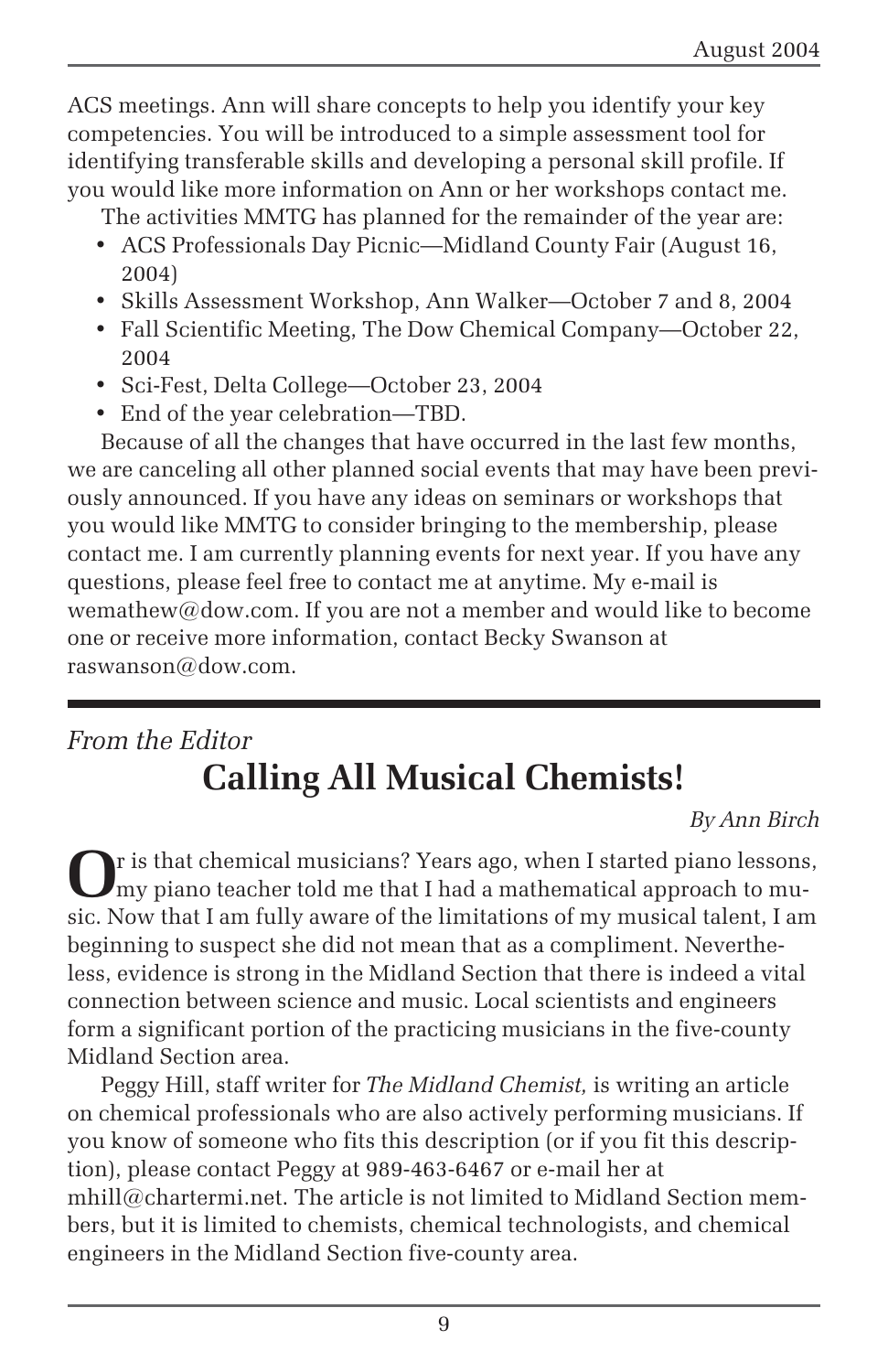ACS meetings. Ann will share concepts to help you identify your key competencies. You will be introduced to a simple assessment tool for identifying transferable skills and developing a personal skill profile. If you would like more information on Ann or her workshops contact me.

The activities MMTG has planned for the remainder of the year are:

- ACS Professionals Day Picnic—Midland County Fair (August 16, 2004)
- Skills Assessment Workshop, Ann Walker—October 7 and 8, 2004
- Fall Scientific Meeting, The Dow Chemical Company—October 22, 2004
- Sci-Fest, Delta College—October 23, 2004
- End of the year celebration—TBD.

Because of all the changes that have occurred in the last few months, we are canceling all other planned social events that may have been previously announced. If you have any ideas on seminars or workshops that you would like MMTG to consider bringing to the membership, please contact me. I am currently planning events for next year. If you have any questions, please feel free to contact me at anytime. My e-mail is wemathew@dow.com. If you are not a member and would like to become one or receive more information, contact Becky Swanson at raswanson@dow.com.

## *From the Editor* **Calling All Musical Chemists!**

*By Ann Birch*

**O**r is that chemical musicians? Years ago, when I started piano lessons, my piano teacher told me that I had a mathematical approach to music. Now that I am fully aware of the limitations of my musical talent, I am beginning to suspect she did not mean that as a compliment. Nevertheless, evidence is strong in the Midland Section that there is indeed a vital connection between science and music. Local scientists and engineers form a significant portion of the practicing musicians in the five-county Midland Section area.

Peggy Hill, staff writer for *The Midland Chemist,* is writing an article on chemical professionals who are also actively performing musicians. If you know of someone who fits this description (or if you fit this description), please contact Peggy at 989-463-6467 or e-mail her at mhill@chartermi.net. The article is not limited to Midland Section members, but it is limited to chemists, chemical technologists, and chemical engineers in the Midland Section five-county area.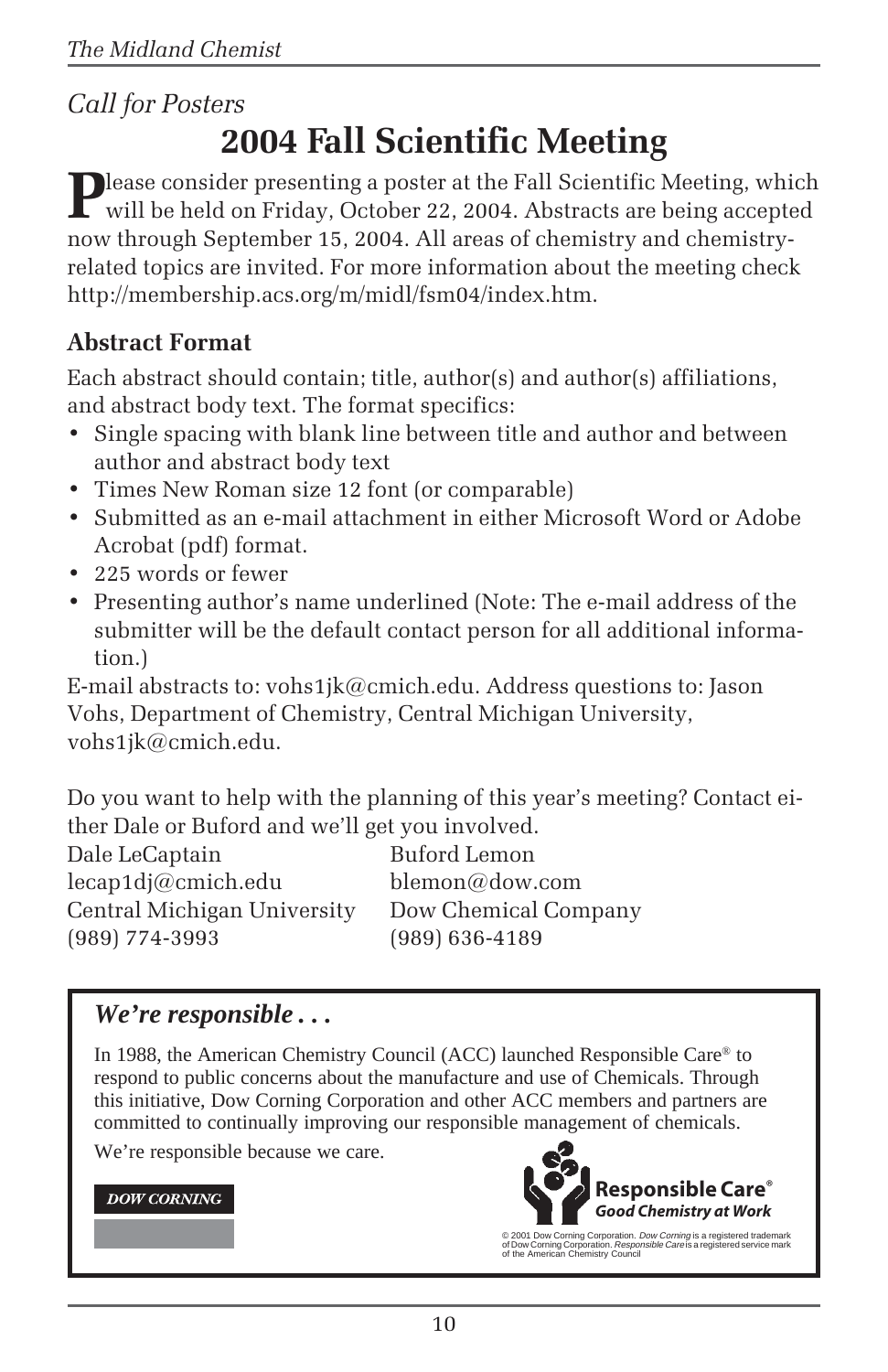#### *Call for Posters*

# **2004 Fall Scientific Meeting**

Please consider presenting a poster at the Fall Scientific Meeting, which will be held on Friday, October 22, 2004. Abstracts are being accepted now through September 15, 2004. All areas of chemistry and chemistryrelated topics are invited. For more information about the meeting check http://membership.acs.org/m/midl/fsm04/index.htm.

#### **Abstract Format**

Each abstract should contain; title, author(s) and author(s) affiliations, and abstract body text. The format specifics:

- Single spacing with blank line between title and author and between author and abstract body text
- Times New Roman size 12 font (or comparable)
- Submitted as an e-mail attachment in either Microsoft Word or Adobe Acrobat (pdf) format.
- 225 words or fewer
- Presenting author's name underlined (Note: The e-mail address of the submitter will be the default contact person for all additional information.)

E-mail abstracts to: vohs1jk@cmich.edu. Address questions to: Jason Vohs, Department of Chemistry, Central Michigan University, vohs1jk@cmich.edu.

Do you want to help with the planning of this year's meeting? Contact either Dale or Buford and we'll get you involved.

Dale LeCaptain Buford Lemon lecap1dj@cmich.edu blemon@dow.com Central Michigan University Dow Chemical Company (989) 774-3993 (989) 636-4189

#### *We're responsible . . .*

In 1988, the American Chemistry Council (ACC) launched Responsible Care® to respond to public concerns about the manufacture and use of Chemicals. Through this initiative, Dow Corning Corporation and other ACC members and partners are committed to continually improving our responsible management of chemicals.

We're responsible because we care.

#### **DOW CORNING**



© 2001 Dow Corning Corporation. *Dow Corning* is a registered trademark<br>of Dow Corning Corporation. *Responsible Care* is a registered service mark<br>of the American Chemistry Council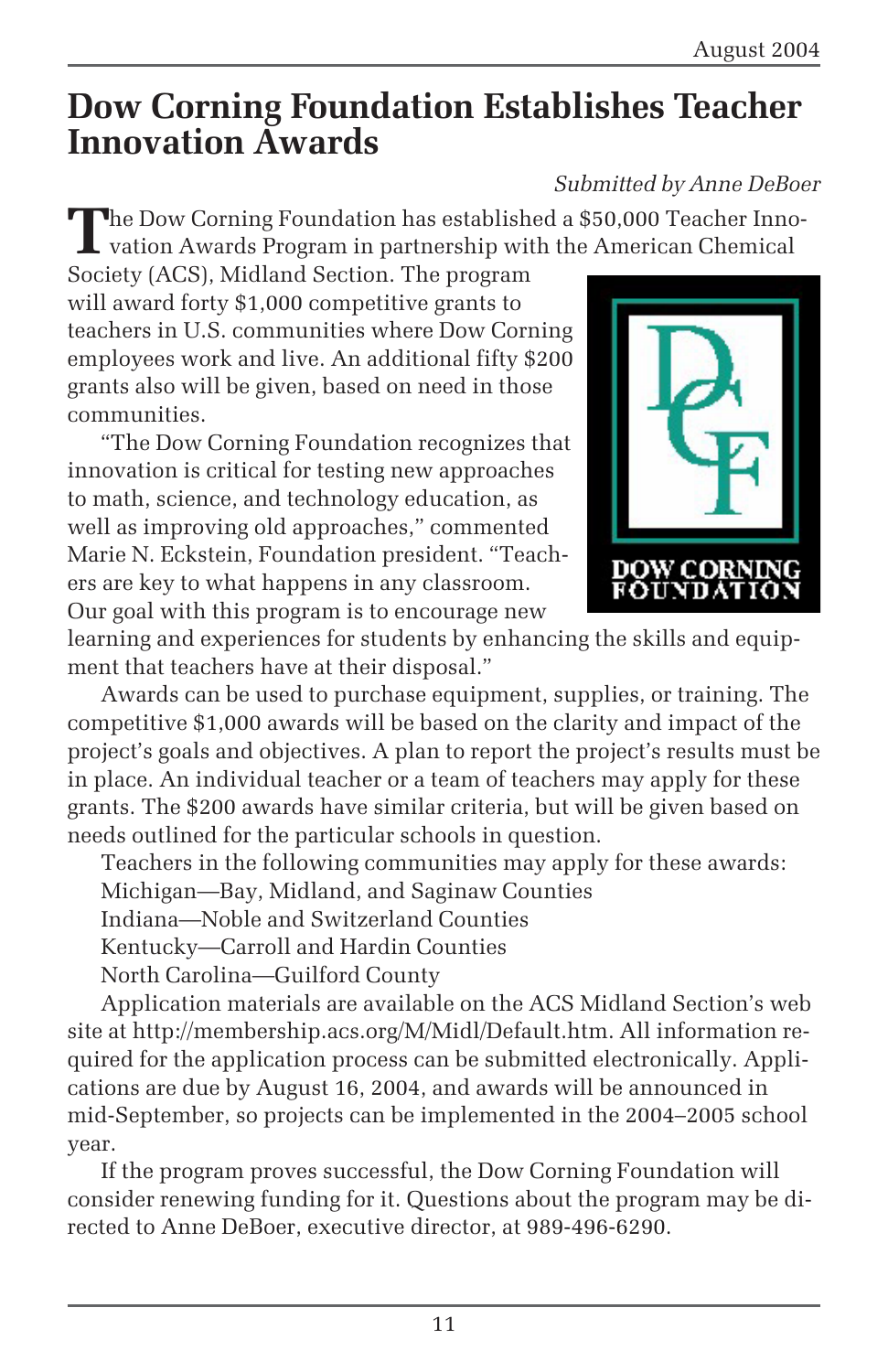## **Dow Corning Foundation Establishes Teacher Innovation Awards**

#### *Submitted by Anne DeBoer*

**T**he Dow Corning Foundation has established a \$50,000 Teacher Inno- $\blacksquare$  vation Awards Program in partnership with the American Chemical

Society (ACS), Midland Section. The program will award forty \$1,000 competitive grants to teachers in U.S. communities where Dow Corning employees work and live. An additional fifty \$200 grants also will be given, based on need in those communities.

"The Dow Corning Foundation recognizes that innovation is critical for testing new approaches to math, science, and technology education, as well as improving old approaches," commented Marie N. Eckstein, Foundation president. "Teachers are key to what happens in any classroom. Our goal with this program is to encourage new



learning and experiences for students by enhancing the skills and equipment that teachers have at their disposal."

Awards can be used to purchase equipment, supplies, or training. The competitive \$1,000 awards will be based on the clarity and impact of the project's goals and objectives. A plan to report the project's results must be in place. An individual teacher or a team of teachers may apply for these grants. The \$200 awards have similar criteria, but will be given based on needs outlined for the particular schools in question.

Teachers in the following communities may apply for these awards: Michigan—Bay, Midland, and Saginaw Counties

Indiana—Noble and Switzerland Counties

Kentucky—Carroll and Hardin Counties

North Carolina—Guilford County

Application materials are available on the ACS Midland Section's web site at http://membership.acs.org/M/Midl/Default.htm. All information required for the application process can be submitted electronically. Applications are due by August 16, 2004, and awards will be announced in mid-September, so projects can be implemented in the 2004–2005 school year.

If the program proves successful, the Dow Corning Foundation will consider renewing funding for it. Questions about the program may be directed to Anne DeBoer, executive director, at 989-496-6290.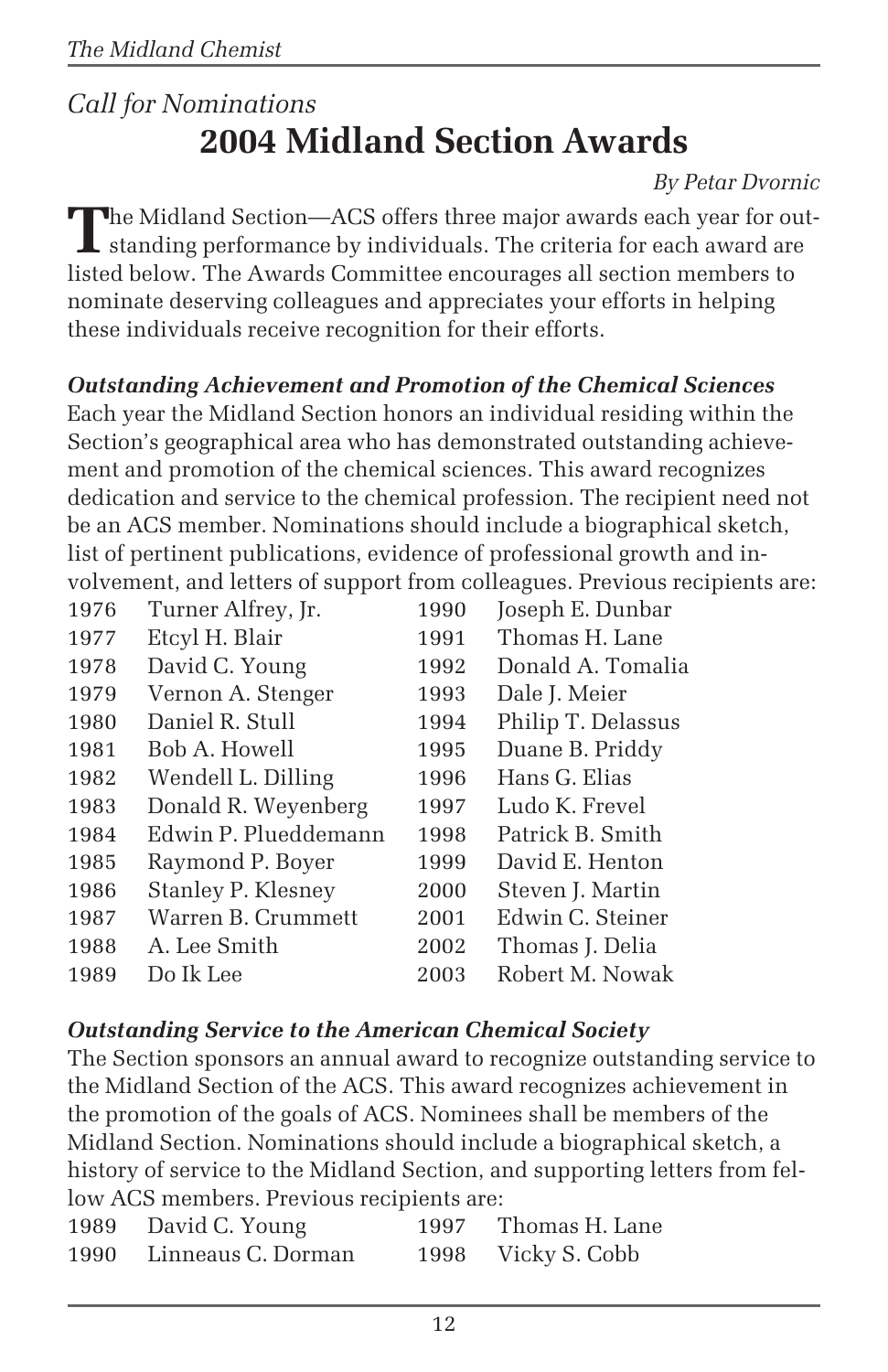## *Call for Nominations* **2004 Midland Section Awards**

#### *By Petar Dvornic*

The Midland Section—ACS offers three major awards each year for out-<br>standing performance by individuals. The criteria for each award are<br>in the standard and the matrix of the state of the standard are stated and the stand listed below. The Awards Committee encourages all section members to nominate deserving colleagues and appreciates your efforts in helping these individuals receive recognition for their efforts.

#### *Outstanding Achievement and Promotion of the Chemical Sciences*

Each year the Midland Section honors an individual residing within the Section's geographical area who has demonstrated outstanding achievement and promotion of the chemical sciences. This award recognizes dedication and service to the chemical profession. The recipient need not be an ACS member. Nominations should include a biographical sketch, list of pertinent publications, evidence of professional growth and involvement, and letters of support from colleagues. Previous recipients are:

| 1976 | Turner Alfrey, Jr.   | 1990 | Joseph E. Dunbar   |
|------|----------------------|------|--------------------|
| 1977 | Etcyl H. Blair       | 1991 | Thomas H. Lane     |
| 1978 | David C. Young       | 1992 | Donald A. Tomalia  |
| 1979 | Vernon A. Stenger    | 1993 | Dale J. Meier      |
| 1980 | Daniel R. Stull      | 1994 | Philip T. Delassus |
| 1981 | Bob A. Howell        | 1995 | Duane B. Priddy    |
| 1982 | Wendell L. Dilling   | 1996 | Hans G. Elias      |
| 1983 | Donald R. Weyenberg  | 1997 | Ludo K. Frevel     |
| 1984 | Edwin P. Plueddemann | 1998 | Patrick B. Smith   |
| 1985 | Raymond P. Boyer     | 1999 | David E. Henton    |
| 1986 | Stanley P. Klesney   | 2000 | Steven J. Martin   |
| 1987 | Warren B. Crummett   | 2001 | Edwin C. Steiner   |
| 1988 | A. Lee Smith         | 2002 | Thomas J. Delia    |
| 1989 | Do Ik Lee            | 2003 | Robert M. Nowak    |
|      |                      |      |                    |

#### *Outstanding Service to the American Chemical Society*

The Section sponsors an annual award to recognize outstanding service to the Midland Section of the ACS. This award recognizes achievement in the promotion of the goals of ACS. Nominees shall be members of the Midland Section. Nominations should include a biographical sketch, a history of service to the Midland Section, and supporting letters from fellow ACS members. Previous recipients are:

| 1989 | David C. Young     | 1997 | Thomas H. Lane |
|------|--------------------|------|----------------|
| 1990 | Linneaus C. Dorman | 1998 | Vicky S. Cobb  |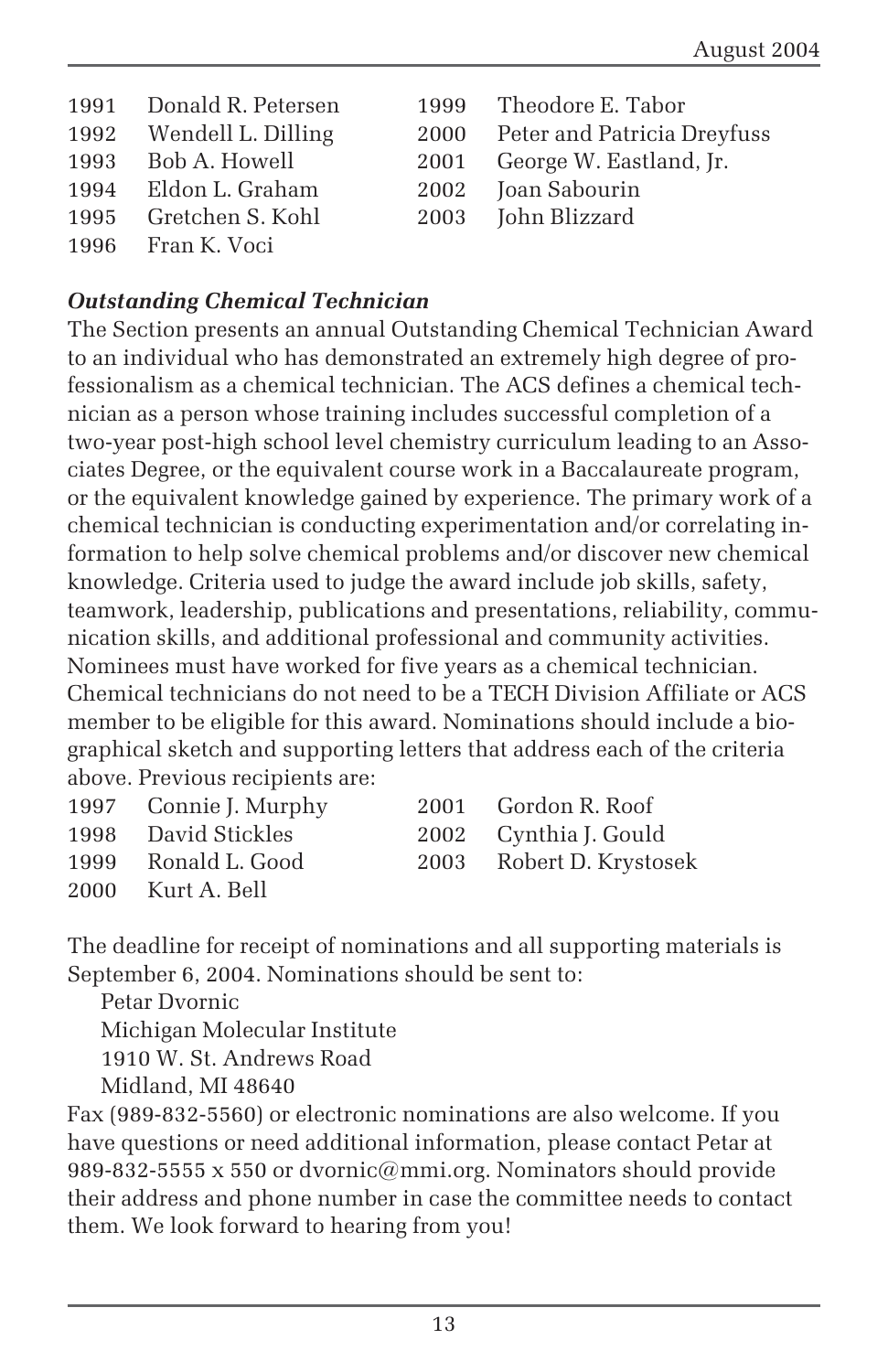| 1991 Donald R. Petersen | 1999 Theodore E. Tabor           |
|-------------------------|----------------------------------|
| 1992 Wendell L. Dilling | 2000 Peter and Patricia Dreyfuss |
| 1993 Bob A. Howell      | 2001 George W. Eastland, Jr.     |
| 1994 Eldon L. Graham    | 2002 Joan Sabourin               |
| 1995 Gretchen S. Kohl   | 2003 John Blizzard               |
| 1996 Fran K. Voci       |                                  |

#### *Outstanding Chemical Technician*

The Section presents an annual Outstanding Chemical Technician Award to an individual who has demonstrated an extremely high degree of professionalism as a chemical technician. The ACS defines a chemical technician as a person whose training includes successful completion of a two-year post-high school level chemistry curriculum leading to an Associates Degree, or the equivalent course work in a Baccalaureate program, or the equivalent knowledge gained by experience. The primary work of a chemical technician is conducting experimentation and/or correlating information to help solve chemical problems and/or discover new chemical knowledge. Criteria used to judge the award include job skills, safety, teamwork, leadership, publications and presentations, reliability, communication skills, and additional professional and community activities. Nominees must have worked for five years as a chemical technician. Chemical technicians do not need to be a TECH Division Affiliate or ACS member to be eligible for this award. Nominations should include a biographical sketch and supporting letters that address each of the criteria above. Previous recipients are:

|      | 1997 Connie J. Murphy | 2001 Gordon R. Roof      |
|------|-----------------------|--------------------------|
|      | 1998 David Stickles   | 2002 Cynthia J. Gould    |
|      | 1999 Ronald L. Good   | 2003 Robert D. Krystosek |
| 2000 | Kurt A. Bell          |                          |

The deadline for receipt of nominations and all supporting materials is September 6, 2004. Nominations should be sent to:

Petar Dvornic Michigan Molecular Institute 1910 W. St. Andrews Road Midland, MI 48640

Fax (989-832-5560) or electronic nominations are also welcome. If you have questions or need additional information, please contact Petar at 989-832-5555 x 550 or dvornic@mmi.org. Nominators should provide their address and phone number in case the committee needs to contact them. We look forward to hearing from you!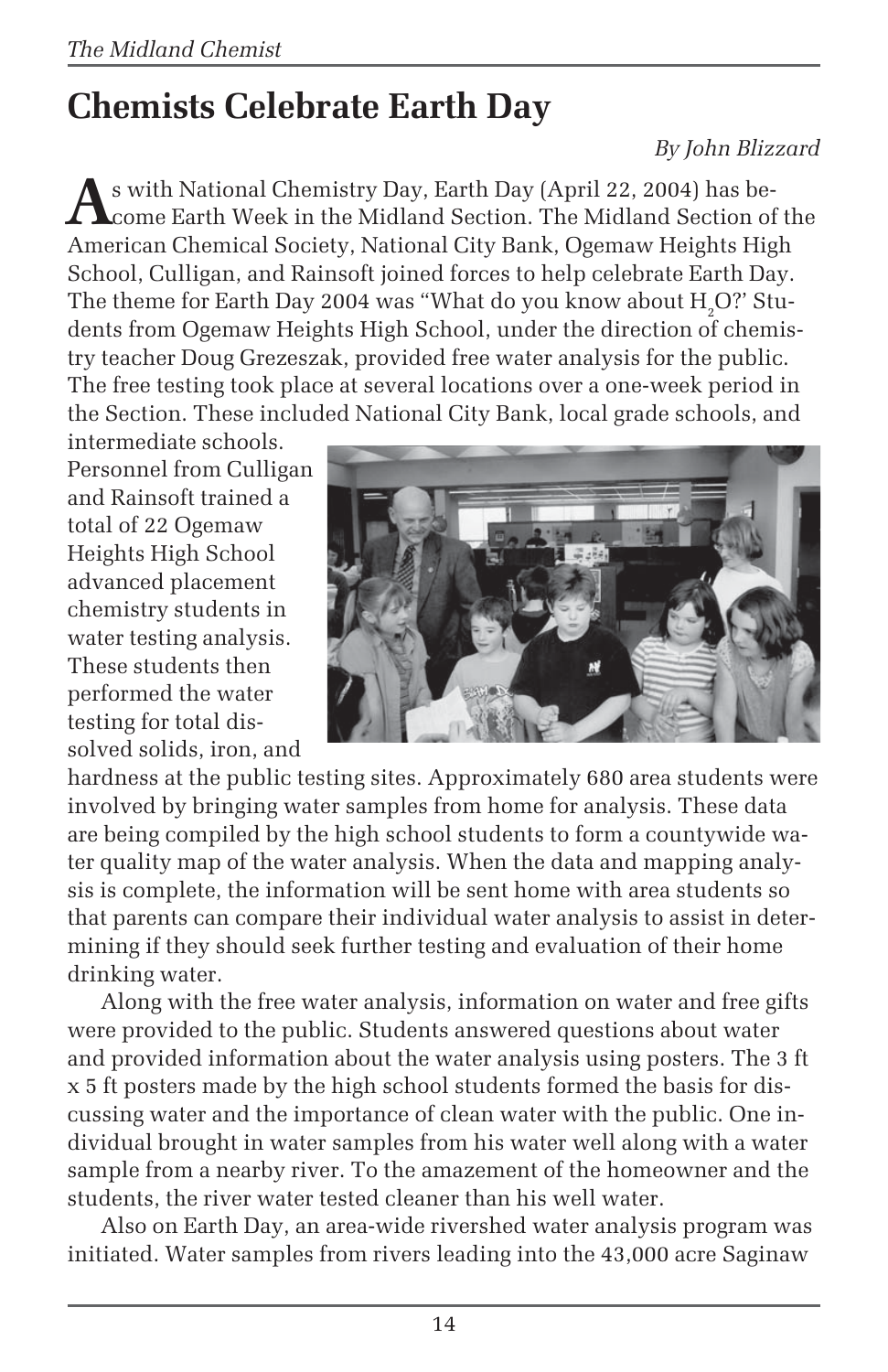# **Chemists Celebrate Earth Day**

#### *By John Blizzard*

**A**s with National Chemistry Day, Earth Day (April 22, 2004) has become Earth Week in the Midland Section. The Midland Section of the American Chemical Society, National City Bank, Ogemaw Heights High School, Culligan, and Rainsoft joined forces to help celebrate Earth Day. The theme for Earth Day 2004 was "What do you know about  $\rm H_2O$ ?' Students from Ogemaw Heights High School, under the direction of chemistry teacher Doug Grezeszak, provided free water analysis for the public. The free testing took place at several locations over a one-week period in the Section. These included National City Bank, local grade schools, and

intermediate schools. Personnel from Culligan and Rainsoft trained a total of 22 Ogemaw Heights High School advanced placement chemistry students in water testing analysis. These students then performed the water testing for total dissolved solids, iron, and



hardness at the public testing sites. Approximately 680 area students were involved by bringing water samples from home for analysis. These data are being compiled by the high school students to form a countywide water quality map of the water analysis. When the data and mapping analysis is complete, the information will be sent home with area students so that parents can compare their individual water analysis to assist in determining if they should seek further testing and evaluation of their home drinking water.

Along with the free water analysis, information on water and free gifts were provided to the public. Students answered questions about water and provided information about the water analysis using posters. The 3 ft x 5 ft posters made by the high school students formed the basis for discussing water and the importance of clean water with the public. One individual brought in water samples from his water well along with a water sample from a nearby river. To the amazement of the homeowner and the students, the river water tested cleaner than his well water.

Also on Earth Day, an area-wide rivershed water analysis program was initiated. Water samples from rivers leading into the 43,000 acre Saginaw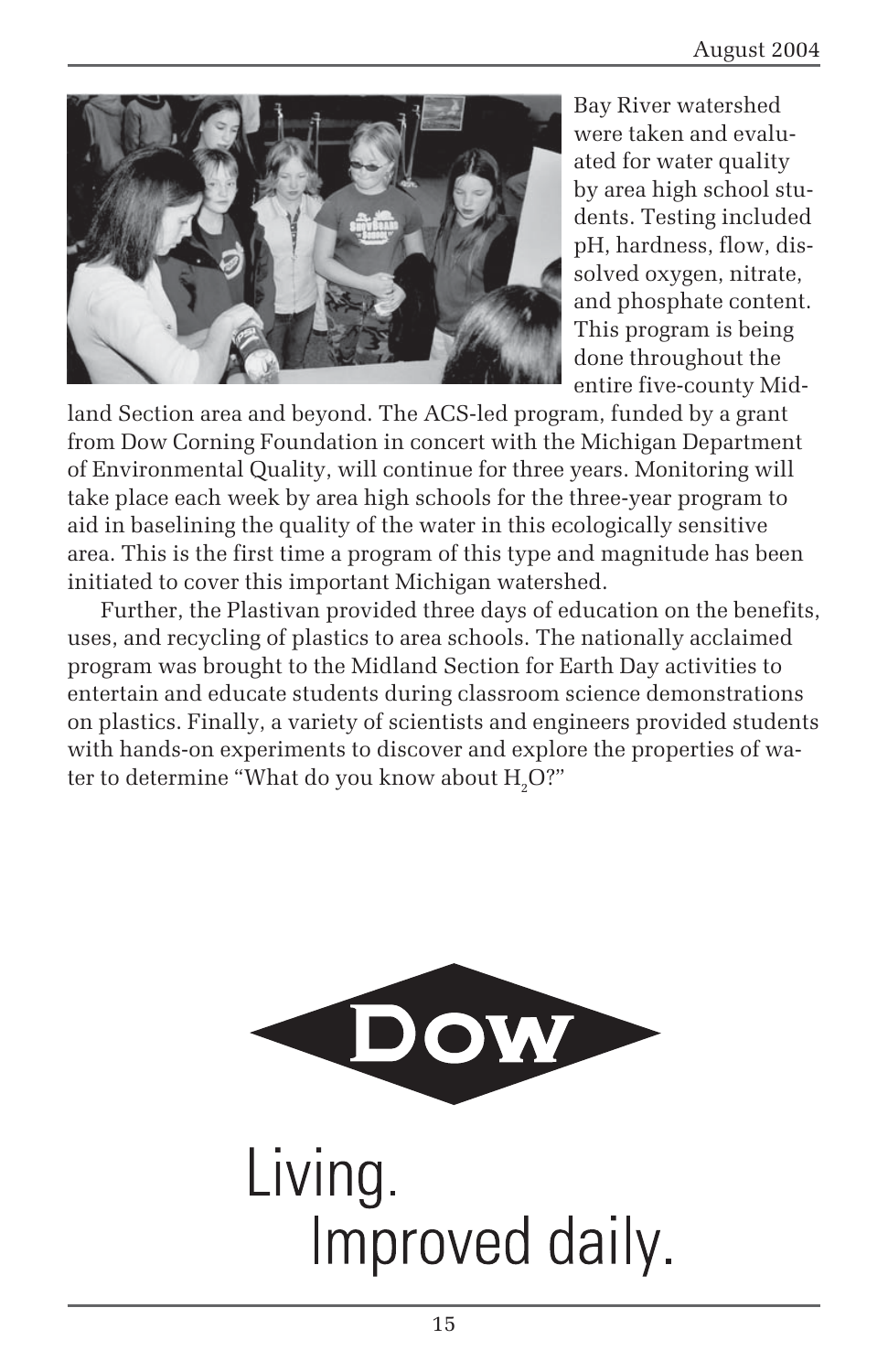

Bay River watershed were taken and evaluated for water quality by area high school students. Testing included pH, hardness, flow, dissolved oxygen, nitrate, and phosphate content. This program is being done throughout the entire five-county Mid-

land Section area and beyond. The ACS-led program, funded by a grant from Dow Corning Foundation in concert with the Michigan Department of Environmental Quality, will continue for three years. Monitoring will take place each week by area high schools for the three-year program to aid in baselining the quality of the water in this ecologically sensitive area. This is the first time a program of this type and magnitude has been initiated to cover this important Michigan watershed.

Further, the Plastivan provided three days of education on the benefits, uses, and recycling of plastics to area schools. The nationally acclaimed program was brought to the Midland Section for Earth Day activities to entertain and educate students during classroom science demonstrations on plastics. Finally, a variety of scientists and engineers provided students with hands-on experiments to discover and explore the properties of water to determine "What do you know about  $\rm H_2O$ ?"



Living. Improved daily.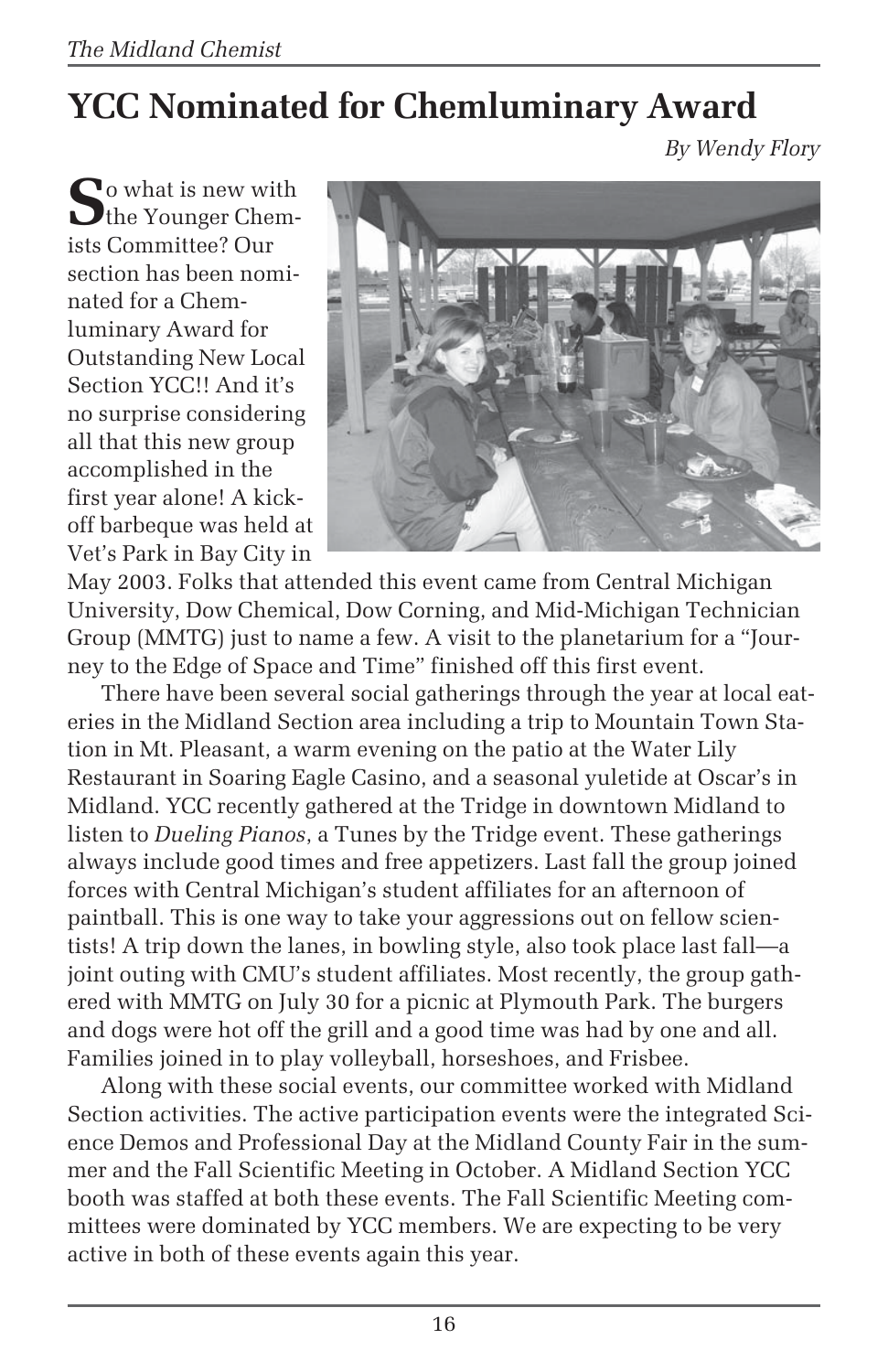# **YCC Nominated for Chemluminary Award**

*By Wendy Flory*

So what is new with ists Committee? Our section has been nominated for a Chemluminary Award for Outstanding New Local Section YCC!! And it's no surprise considering all that this new group accomplished in the first year alone! A kickoff barbeque was held at Vet's Park in Bay City in



May 2003. Folks that attended this event came from Central Michigan University, Dow Chemical, Dow Corning, and Mid-Michigan Technician Group (MMTG) just to name a few. A visit to the planetarium for a "Journey to the Edge of Space and Time" finished off this first event.

There have been several social gatherings through the year at local eateries in the Midland Section area including a trip to Mountain Town Station in Mt. Pleasant, a warm evening on the patio at the Water Lily Restaurant in Soaring Eagle Casino, and a seasonal yuletide at Oscar's in Midland. YCC recently gathered at the Tridge in downtown Midland to listen to *Dueling Pianos*, a Tunes by the Tridge event. These gatherings always include good times and free appetizers. Last fall the group joined forces with Central Michigan's student affiliates for an afternoon of paintball. This is one way to take your aggressions out on fellow scientists! A trip down the lanes, in bowling style, also took place last fall—a joint outing with CMU's student affiliates. Most recently, the group gathered with MMTG on July 30 for a picnic at Plymouth Park. The burgers and dogs were hot off the grill and a good time was had by one and all. Families joined in to play volleyball, horseshoes, and Frisbee.

Along with these social events, our committee worked with Midland Section activities. The active participation events were the integrated Science Demos and Professional Day at the Midland County Fair in the summer and the Fall Scientific Meeting in October. A Midland Section YCC booth was staffed at both these events. The Fall Scientific Meeting committees were dominated by YCC members. We are expecting to be very active in both of these events again this year.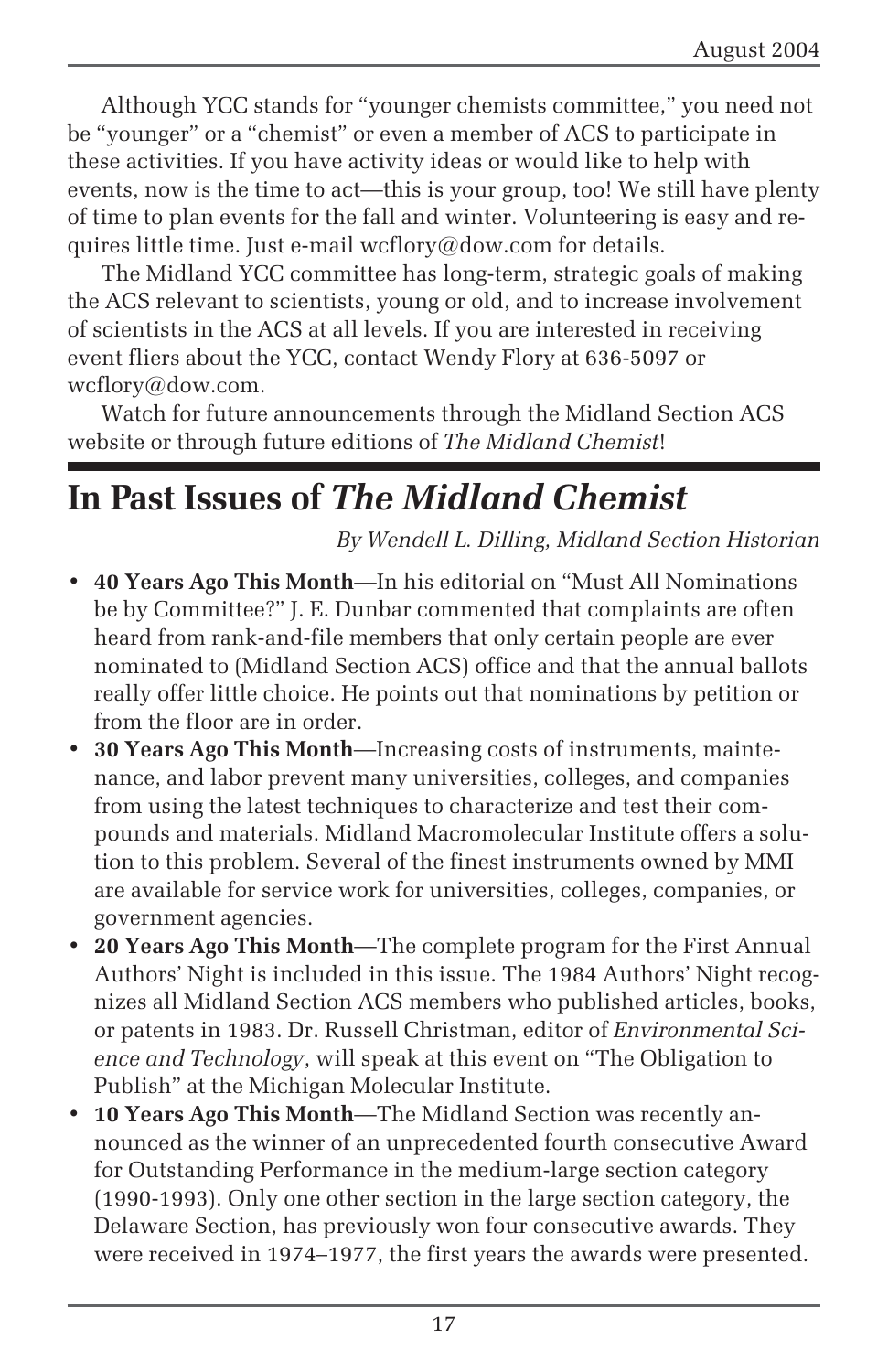Although YCC stands for "younger chemists committee," you need not be "younger" or a "chemist" or even a member of ACS to participate in these activities. If you have activity ideas or would like to help with events, now is the time to act—this is your group, too! We still have plenty of time to plan events for the fall and winter. Volunteering is easy and requires little time. Just e-mail wcflory@dow.com for details.

The Midland YCC committee has long-term, strategic goals of making the ACS relevant to scientists, young or old, and to increase involvement of scientists in the ACS at all levels. If you are interested in receiving event fliers about the YCC, contact Wendy Flory at 636-5097 or wcflory@dow.com.

Watch for future announcements through the Midland Section ACS website or through future editions of *The Midland Chemist*!

## **In Past Issues of** *The Midland Chemist*

*By Wendell L. Dilling, Midland Section Historian*

- **40 Years Ago This Month**—In his editorial on "Must All Nominations be by Committee?" J. E. Dunbar commented that complaints are often heard from rank-and-file members that only certain people are ever nominated to (Midland Section ACS) office and that the annual ballots really offer little choice. He points out that nominations by petition or from the floor are in order.
- **30 Years Ago This Month**—Increasing costs of instruments, maintenance, and labor prevent many universities, colleges, and companies from using the latest techniques to characterize and test their compounds and materials. Midland Macromolecular Institute offers a solution to this problem. Several of the finest instruments owned by MMI are available for service work for universities, colleges, companies, or government agencies.
- **20 Years Ago This Month**—The complete program for the First Annual Authors' Night is included in this issue. The 1984 Authors' Night recognizes all Midland Section ACS members who published articles, books, or patents in 1983. Dr. Russell Christman, editor of *Environmental Science and Technology*, will speak at this event on "The Obligation to Publish" at the Michigan Molecular Institute.
- **10 Years Ago This Month**—The Midland Section was recently announced as the winner of an unprecedented fourth consecutive Award for Outstanding Performance in the medium-large section category (1990-1993). Only one other section in the large section category, the Delaware Section, has previously won four consecutive awards. They were received in 1974–1977, the first years the awards were presented.